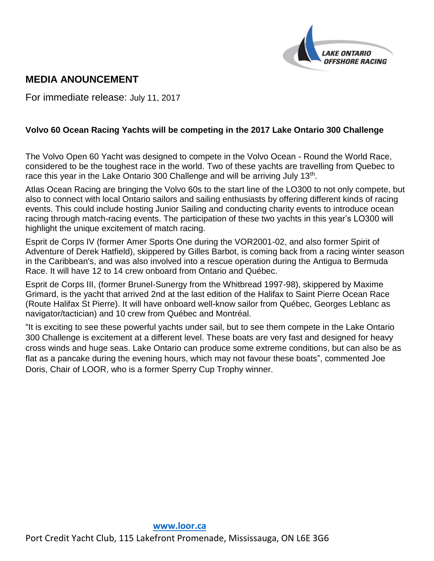

# **MEDIA ANOUNCEMENT**

For immediate release: July 11, 2017

## **Volvo 60 Ocean Racing Yachts will be competing in the 2017 Lake Ontario 300 Challenge**

The Volvo Open 60 Yacht was designed to compete in the Volvo Ocean - Round the World Race, considered to be the toughest race in the world. Two of these yachts are travelling from Quebec to race this year in the Lake Ontario 300 Challenge and will be arriving July 13<sup>th</sup>.

Atlas Ocean Racing are bringing the Volvo 60s to the start line of the LO300 to not only compete, but also to connect with local Ontario sailors and sailing enthusiasts by offering different kinds of racing events. This could include hosting Junior Sailing and conducting charity events to introduce ocean racing through match-racing events. The participation of these two yachts in this year's LO300 will highlight the unique excitement of match racing.

Esprit de Corps IV (former Amer Sports One during the VOR2001-02, and also former Spirit of Adventure of Derek Hatfield), skippered by Gilles Barbot, is coming back from a racing winter season in the Caribbean's, and was also involved into a rescue operation during the Antigua to Bermuda Race. It will have 12 to 14 crew onboard from Ontario and Québec.

Esprit de Corps III, (former Brunel-Sunergy from the Whitbread 1997-98), skippered by Maxime Grimard, is the yacht that arrived 2nd at the last edition of the Halifax to Saint Pierre Ocean Race (Route Halifax St Pierre). It will have onboard well-know sailor from Québec, Georges Leblanc as navigator/tactician) and 10 crew from Québec and Montréal.

"It is exciting to see these powerful yachts under sail, but to see them compete in the Lake Ontario 300 Challenge is excitement at a different level. These boats are very fast and designed for heavy cross winds and huge seas. Lake Ontario can produce some extreme conditions, but can also be as flat as a pancake during the evening hours, which may not favour these boats", commented Joe Doris, Chair of LOOR, who is a former Sperry Cup Trophy winner.